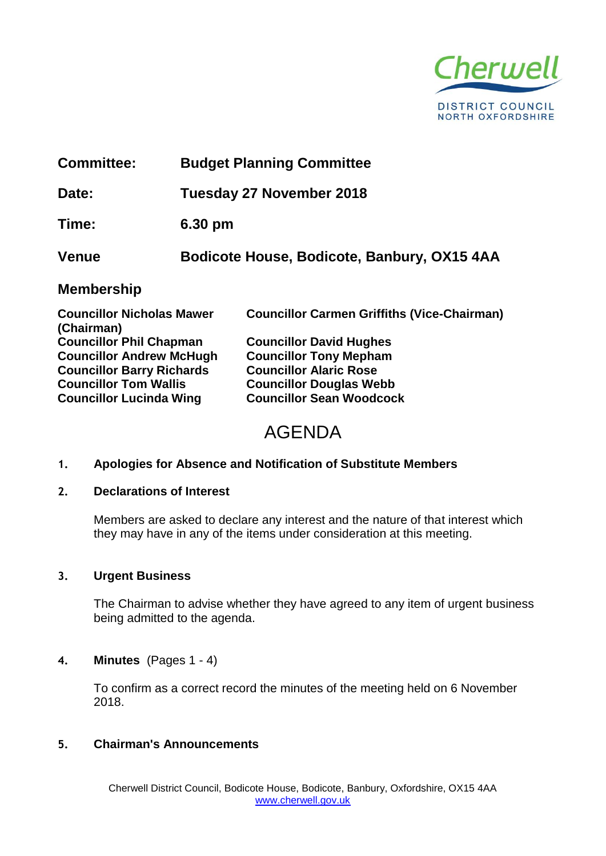

| <b>Committee:</b>                              | <b>Budget Planning Committee</b>            |                                                    |
|------------------------------------------------|---------------------------------------------|----------------------------------------------------|
| Date:                                          | Tuesday 27 November 2018                    |                                                    |
| Time:                                          | 6.30 pm                                     |                                                    |
| <b>Venue</b>                                   | Bodicote House, Bodicote, Banbury, OX15 4AA |                                                    |
| <b>Membership</b>                              |                                             |                                                    |
| <b>Councillor Nicholas Mawer</b><br>(Chairman) |                                             | <b>Councillor Carmen Griffiths (Vice-Chairman)</b> |
| <b>Councillor Phil Chapman</b>                 |                                             | <b>Councillor David Hughes</b>                     |
| <b>Councillor Andrew McHugh</b>                |                                             | <b>Councillor Tony Mepham</b>                      |
| <b>Councillor Barry Richards</b>               |                                             | <b>Councillor Alaric Rose</b>                      |
| <b>Councillor Tom Wallis</b>                   |                                             | <b>Councillor Douglas Webb</b>                     |

# AGENDA

## **1. Apologies for Absence and Notification of Substitute Members**

**Councillor Lucinda Wing Councillor Sean Woodcock**

#### **2. Declarations of Interest**

Members are asked to declare any interest and the nature of that interest which they may have in any of the items under consideration at this meeting.

# **3. Urgent Business**

The Chairman to advise whether they have agreed to any item of urgent business being admitted to the agenda.

#### **4. Minutes** (Pages 1 - 4)

To confirm as a correct record the minutes of the meeting held on 6 November 2018.

# **5. Chairman's Announcements**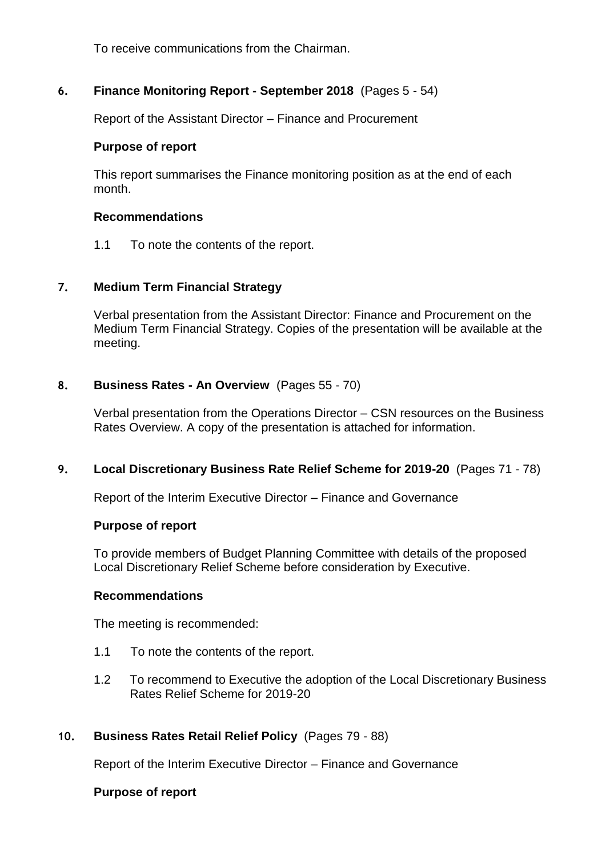To receive communications from the Chairman.

# **6. Finance Monitoring Report - September 2018** (Pages 5 - 54)

Report of the Assistant Director – Finance and Procurement

#### **Purpose of report**

This report summarises the Finance monitoring position as at the end of each month.

#### **Recommendations**

1.1 To note the contents of the report.

## **7. Medium Term Financial Strategy**

Verbal presentation from the Assistant Director: Finance and Procurement on the Medium Term Financial Strategy. Copies of the presentation will be available at the meeting.

## **8. Business Rates - An Overview** (Pages 55 - 70)

Verbal presentation from the Operations Director – CSN resources on the Business Rates Overview. A copy of the presentation is attached for information.

## **9. Local Discretionary Business Rate Relief Scheme for 2019-20** (Pages 71 - 78)

Report of the Interim Executive Director – Finance and Governance

#### **Purpose of report**

To provide members of Budget Planning Committee with details of the proposed Local Discretionary Relief Scheme before consideration by Executive.

## **Recommendations**

The meeting is recommended:

- 1.1 To note the contents of the report.
- 1.2 To recommend to Executive the adoption of the Local Discretionary Business Rates Relief Scheme for 2019-20

## **10. Business Rates Retail Relief Policy** (Pages 79 - 88)

Report of the Interim Executive Director – Finance and Governance

#### **Purpose of report**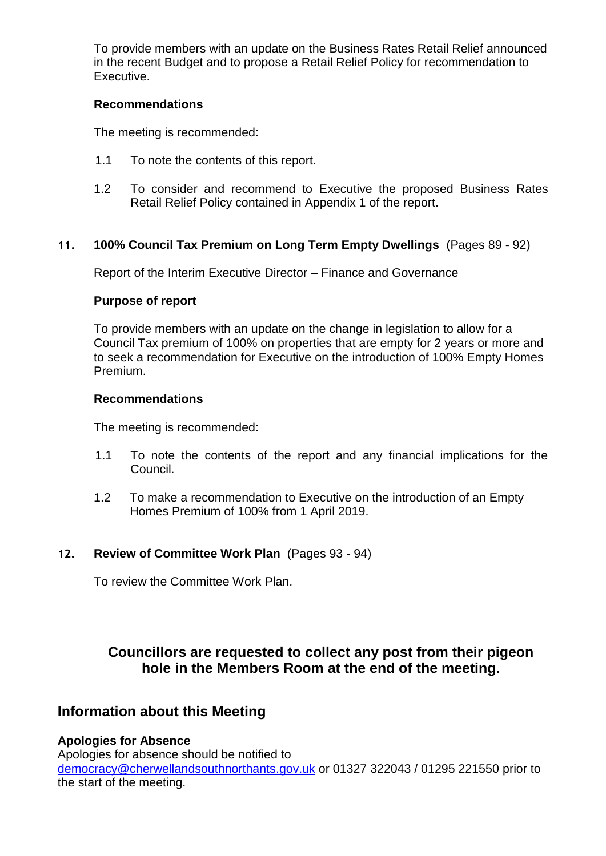To provide members with an update on the Business Rates Retail Relief announced in the recent Budget and to propose a Retail Relief Policy for recommendation to Executive.

#### **Recommendations**

The meeting is recommended:

- 1.1 To note the contents of this report.
- 1.2 To consider and recommend to Executive the proposed Business Rates Retail Relief Policy contained in Appendix 1 of the report.

## **11. 100% Council Tax Premium on Long Term Empty Dwellings** (Pages 89 - 92)

Report of the Interim Executive Director – Finance and Governance

#### **Purpose of report**

To provide members with an update on the change in legislation to allow for a Council Tax premium of 100% on properties that are empty for 2 years or more and to seek a recommendation for Executive on the introduction of 100% Empty Homes Premium.

#### **Recommendations**

The meeting is recommended:

- 1.1 To note the contents of the report and any financial implications for the Council.
- 1.2 To make a recommendation to Executive on the introduction of an Empty Homes Premium of 100% from 1 April 2019.

## **12. Review of Committee Work Plan** (Pages 93 - 94)

To review the Committee Work Plan.

# **Councillors are requested to collect any post from their pigeon hole in the Members Room at the end of the meeting.**

# **Information about this Meeting**

## **Apologies for Absence**

Apologies for absence should be notified to [democracy@cherwellandsouthnorthants.gov.uk](mailto:democracy@cherwell-dc.gov.uk) or 01327 322043 / 01295 221550 prior to the start of the meeting.